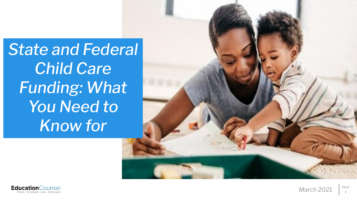*State and Federal Child Care Funding: What You Need to Know for* 

*Children and* 



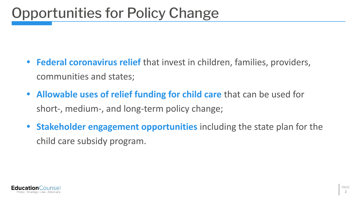#### Opportunities for Policy Change

- **• Federal coronavirus relief** that invest in children, families, providers, communities and states;
- **• Allowable uses of relief funding for child care** that can be used for short-, medium-, and long-term policy change;
- **• Stakeholder engagement opportunities** including the state plan for the child care subsidy program.

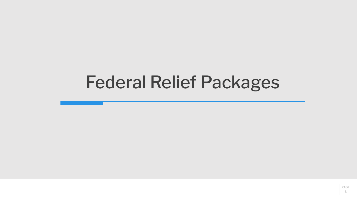## Federal Relief Packages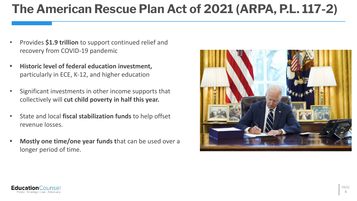#### **The American Rescue Plan Act of 2021 (ARPA, P.L. 117-2)**

- Provides **\$1.9 trillion** to support continued relief and recovery from COVID-19 pandemic
- **• Historic level of federal education investment,** particularly in ECE, K-12, and higher education
- Significant investments in other income supports that collectively will **cut child poverty in half this year.**
- State and local **fiscal stabilization funds** to help offset revenue losses.
- **• Mostly one time/one year funds t**hat can be used over a longer period of time.



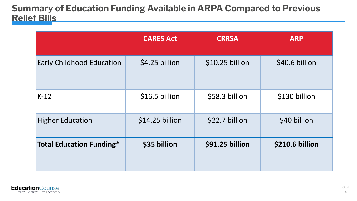#### **Summary of Education Funding Available in ARPA Compared to Previous Relief Bills**

|                                  | <b>CARES Act</b> | <b>CRRSA</b>    | <b>ARP</b>      |
|----------------------------------|------------------|-----------------|-----------------|
| <b>Early Childhood Education</b> | \$4.25 billion   | \$10.25 billion | \$40.6 billion  |
| $K-12$                           | \$16.5 billion   | \$58.3 billion  | \$130 billion   |
| <b>Higher Education</b>          | $$14.25$ billion | \$22.7 billion  | \$40 billion    |
| <b>Total Education Funding*</b>  | \$35 billion     | \$91.25 billion | \$210.6 billion |

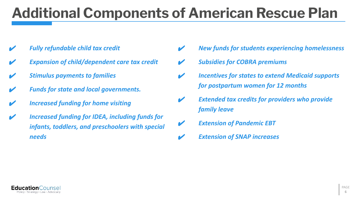### **Additional Components of American Rescue Plan**

- ✔ *Fully refundable child tax credit*
- **Expansion of child/dependent care tax credit**
- ✔ *Stimulus payments to families*
- ✔ *Funds for state and local governments.*
- ✔ *Increased funding for home visiting*
- ✔ *Increased funding for IDEA, including funds for infants, toddlers, and preschoolers with special needs*
- ✔ *New funds for students experiencing homelessness*
- ✔ *Subsidies for COBRA premiums*
- ✔ *Incentives for states to extend Medicaid supports for postpartum women for 12 months*
- ✔ *Extended tax credits for providers who provide family leave*
- **Extension of Pandemic EBT**
- ✔ *Extension of SNAP increases*

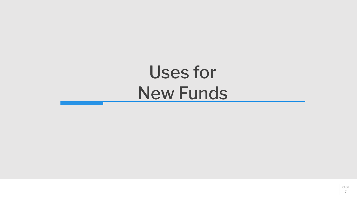# Uses for New Funds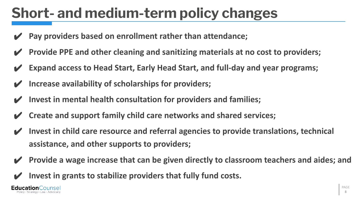### **Short- and medium-term policy changes**

- ✔ **Pay providers based on enrollment rather than attendance;**
- ✔ **Provide PPE and other cleaning and sanitizing materials at no cost to providers;**
- **Expand access to Head Start, Early Head Start, and full-day and year programs;**
- ✔ **Increase availability of scholarships for providers;**
- ✔ **Invest in mental health consultation for providers and families;**
- ✔ **Create and support family child care networks and shared services;**
- ✔ **Invest in child care resource and referral agencies to provide translations, technical assistance, and other supports to providers;**
- ✔ **Provide a wage increase that can be given directly to classroom teachers and aides; and**
- ✔ **Invest in grants to stabilize providers that fully fund costs.**

**Education**Counse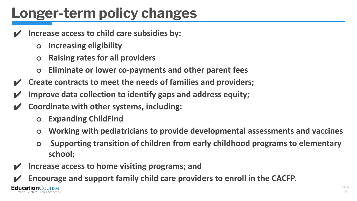## **Longer-term policy changes**

- ✔ **Increase access to child care subsidies by:**
	- **o Increasing eligibility**
	- **o Raising rates for all providers**
	- **o Eliminate or lower co-payments and other parent fees**
- ✔ **Create contracts to meet the needs of families and providers;**
- ✔ **Improve data collection to identify gaps and address equity;**
- ✔ **Coordinate with other systems, including:**
	- **o Expanding ChildFind**
	- **o Working with pediatricians to provide developmental assessments and vaccines**
	- **o Supporting transition of children from early childhood programs to elementary school;**
- ✔ **Increase access to home visiting programs; and**

✔ **Encourage and support family child care providers to enroll in the CACFP.Education**Counse Strategy i Law i Advocac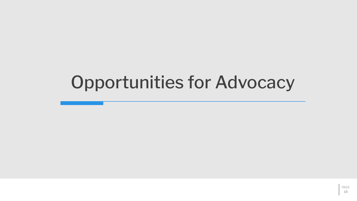## Opportunities for Advocacy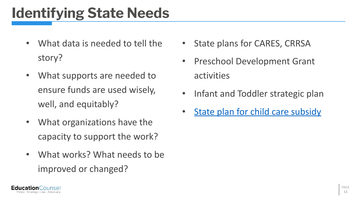### **Identifying State Needs**

- What data is needed to tell the story?
- What supports are needed to ensure funds are used wisely, well, and equitably?
- What organizations have the capacity to support the work?
- What works? What needs to be improved or changed?
- State plans for CARES, CRRSA
- Preschool Development Grant activities
- Infant and Toddler strategic plan
- [State plan for child care subsidy](https://www.acf.hhs.gov/occ/policy-guidance/ffy2022-2024-ccdf-plan-preprint-states-and-territories)

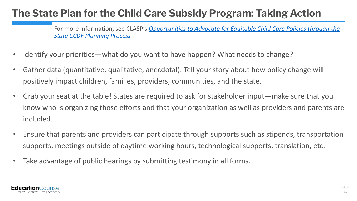#### **The State Plan for the Child Care Subsidy Program: Taking Action**

For more information, see CLASP's *[Opportunities to Advocate for Equitable Child Care Policies through the](https://www.clasp.org/sites/default/files/publications/2021/01/2021_State%20CCDF%20Planning%20Process%20brief.pdf) [State CCDF Planning Process](https://www.clasp.org/sites/default/files/publications/2021/01/2021_State%20CCDF%20Planning%20Process%20brief.pdf)*

- Identify your priorities—what do you want to have happen? What needs to change?
- Gather data (quantitative, qualitative, anecdotal). Tell your story about how policy change will positively impact children, families, providers, communities, and the state.
- Grab your seat at the table! States are required to ask for stakeholder input—make sure that you know who is organizing those efforts and that your organization as well as providers and parents are included.
- Ensure that parents and providers can participate through supports such as stipends, transportation supports, meetings outside of daytime working hours, technological supports, translation, etc.
- Take advantage of public hearings by submitting testimony in all forms.